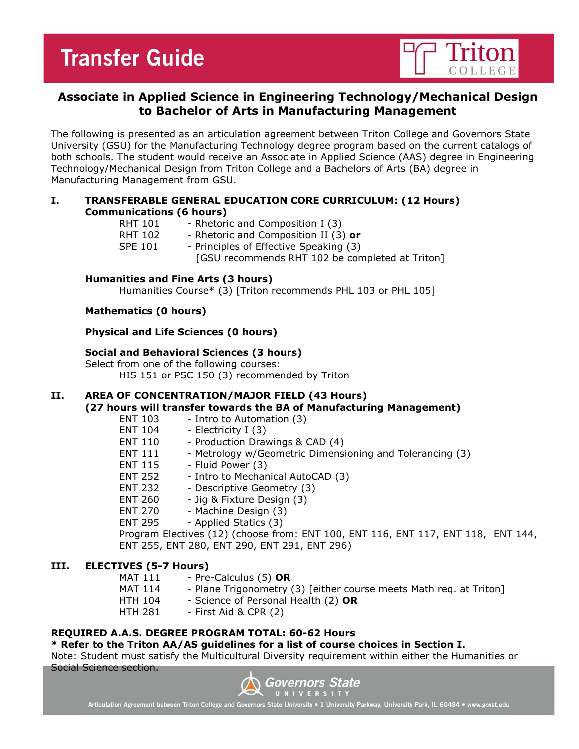# **Transfer Guide**



### **Associate in Applied Science in Engineering Technology/Mechanical Design to Bachelor of Arts in Manufacturing Management**

The following is presented as an articulation agreement between Triton College and Governors State University (GSU) for the Manufacturing Technology degree program based on the current catalogs of both schools. The student would receive an Associate in Applied Science (AAS) degree in Engineering Technology/Mechanical Design from Triton College and a Bachelors of Arts (BA) degree in Manufacturing Management from GSU.

#### **I. TRANSFERABLE GENERAL EDUCATION CORE CURRICULUM: (12 Hours) Communications (6 hours)**

| RHT 101 | - Rhetoric and Composition I (3)                |
|---------|-------------------------------------------------|
| RHT 102 | - Rhetoric and Composition II (3) or            |
| SPE 101 | - Principles of Effective Speaking (3)          |
|         | [GSU recommends RHT 102 be completed at Triton] |
|         |                                                 |

#### **Humanities and Fine Arts (3 hours)**

Humanities Course\* (3) [Triton recommends PHL 103 or PHL 105]

#### **Mathematics (0 hours)**

#### **Physical and Life Sciences (0 hours)**

#### **Social and Behavioral Sciences (3 hours)**

Select from one of the following courses: HIS 151 or PSC 150 (3) recommended by Triton

#### **II. AREA OF CONCENTRATION/MAJOR FIELD (43 Hours) (27 hours will transfer towards the BA of Manufacturing Management)**

- ENT 103 Intro to Automation (3)
- ENT 104 Electricity I (3)
- ENT 110 Production Drawings & CAD (4)
- ENT 111 Metrology w/Geometric Dimensioning and Tolerancing (3)
- ENT 115 Fluid Power (3)
- ENT 252 Intro to Mechanical AutoCAD (3)
- ENT 232 Descriptive Geometry (3)
- ENT 260 Jig & Fixture Design (3)
- ENT 270 Machine Design (3)
- ENT 295 Applied Statics (3)

Program Electives (12) (choose from: ENT 100, ENT 116, ENT 117, ENT 118, ENT 144, ENT 255, ENT 280, ENT 290, ENT 291, ENT 296)

#### **III. ELECTIVES (5-7 Hours)**

- MAT 111 Pre-Calculus (5) OR
- MAT 114 Plane Trigonometry (3) [either course meets Math req. at Triton]
- HTH 104 Science of Personal Health (2) **OR**
- HTH 281 First Aid & CPR (2)

#### **REQUIRED A.A.S. DEGREE PROGRAM TOTAL: 60-62 Hours**

#### **\* Refer to the Triton AA/AS guidelines for a list of course choices in Section I.**

Note: Student must satisfy the Multicultural Diversity requirement within either the Humanities or Social Science section.



Articulation Agreement between Triton College and Governors State University . 1 University Parkway, University Park, IL 60484 . www.govst.edu